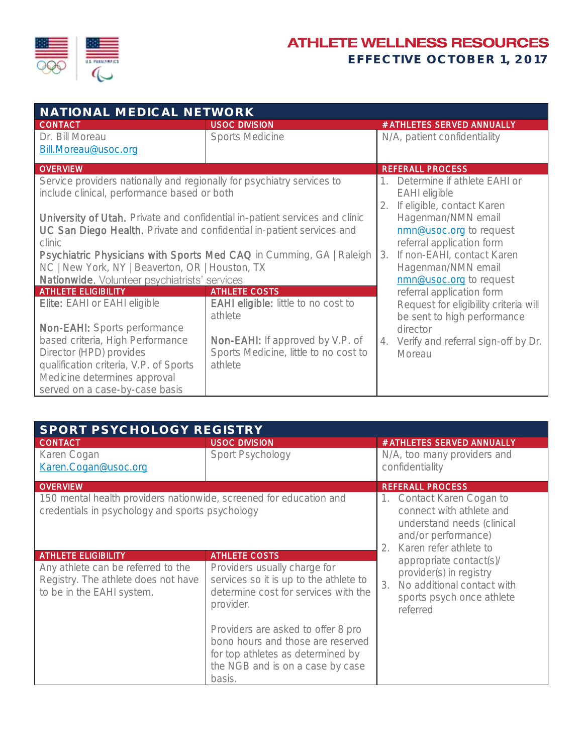

## **ATHLETE WELLNESS RESOURCES**

EFFECTIVE OCTOBER 1, 2017

| NATIONAL MEDICAL NETWORK                                                                                                                                                |                                                                                      |                                                                                       |  |  |
|-------------------------------------------------------------------------------------------------------------------------------------------------------------------------|--------------------------------------------------------------------------------------|---------------------------------------------------------------------------------------|--|--|
| <b>CONTACT</b>                                                                                                                                                          | <b>USOC DIVISION</b>                                                                 | # ATHLETES SERVED ANNUALLY                                                            |  |  |
| Dr. Bill Moreau<br>Bill.Moreau@usoc.org                                                                                                                                 | <b>Sports Medicine</b>                                                               | N/A, patient confidentiality                                                          |  |  |
| <b>OVERVIEW</b>                                                                                                                                                         |                                                                                      | <b>REFERALL PROCESS</b>                                                               |  |  |
| Service providers nationally and regionally for psychiatry services to<br>include clinical, performance based or both                                                   |                                                                                      | Determine if athlete EAHI or<br><b>EAHI</b> eligible<br>2. If eligible, contact Karen |  |  |
| University of Utah. Private and confidential in-patient services and clinic<br>UC San Diego Health. Private and confidential in-patient services and<br>clinic          |                                                                                      | Hagenman/NMN email<br>nmn@usoc.org to request<br>referral application form            |  |  |
| Psychiatric Physicians with Sports Med CAQ in Cumming, GA   Raleigh<br>NC   New York, NY   Beaverton, OR   Houston, TX<br>Nationwide. Volunteer psychiatrists' services |                                                                                      | If non-EAHI, contact Karen<br>3.<br>Hagenman/NMN email<br>nmn@usoc.org to request     |  |  |
| <b>ATHLETE ELIGIBILITY</b>                                                                                                                                              | <b>ATHLETE COSTS</b>                                                                 | referral application form                                                             |  |  |
| Elite: EAHI or EAHI eligible<br><b>Non-EAHI:</b> Sports performance                                                                                                     | <b>EAHI eligible:</b> little to no cost to<br>athlete                                | Request for eligibility criteria will<br>be sent to high performance<br>director      |  |  |
| based criteria, High Performance<br>Director (HPD) provides<br>qualification criteria, V.P. of Sports<br>Medicine determines approval<br>served on a case-by-case basis | Non-EAHI: If approved by V.P. of<br>Sports Medicine, little to no cost to<br>athlete | Verify and referral sign-off by Dr.<br>4.<br>Moreau                                   |  |  |

| SPORT PSYCHOLOGY REGISTRY                                                                                             |                                                                                                                                                            |                                                                                                                                                    |  |
|-----------------------------------------------------------------------------------------------------------------------|------------------------------------------------------------------------------------------------------------------------------------------------------------|----------------------------------------------------------------------------------------------------------------------------------------------------|--|
| <b>CONTACT</b>                                                                                                        | <b>USOC DIVISION</b>                                                                                                                                       | # ATHLETES SERVED ANNUALLY                                                                                                                         |  |
| Karen Cogan<br>Karen.Cogan@usoc.org                                                                                   | Sport Psychology                                                                                                                                           | N/A, too many providers and<br>confidentiality                                                                                                     |  |
| <b>OVERVIEW</b>                                                                                                       |                                                                                                                                                            | <b>REFERALL PROCESS</b>                                                                                                                            |  |
| 150 mental health providers nationwide, screened for education and<br>credentials in psychology and sports psychology |                                                                                                                                                            | Contact Karen Cogan to<br>1.<br>connect with athlete and<br>understand needs (clinical<br>and/or performance)<br>Karen refer athlete to<br>$2_{1}$ |  |
| <b>ATHLETE ELIGIBILITY</b>                                                                                            | <b>ATHLETE COSTS</b>                                                                                                                                       | appropriate contact(s)/                                                                                                                            |  |
| Any athlete can be referred to the<br>Registry. The athlete does not have<br>to be in the EAHI system.                | Providers usually charge for<br>services so it is up to the athlete to<br>determine cost for services with the<br>provider.                                | provider(s) in registry<br>No additional contact with<br>3.<br>sports psych once athlete<br>referred                                               |  |
|                                                                                                                       | Providers are asked to offer 8 pro<br>bono hours and those are reserved<br>for top athletes as determined by<br>the NGB and is on a case by case<br>basis. |                                                                                                                                                    |  |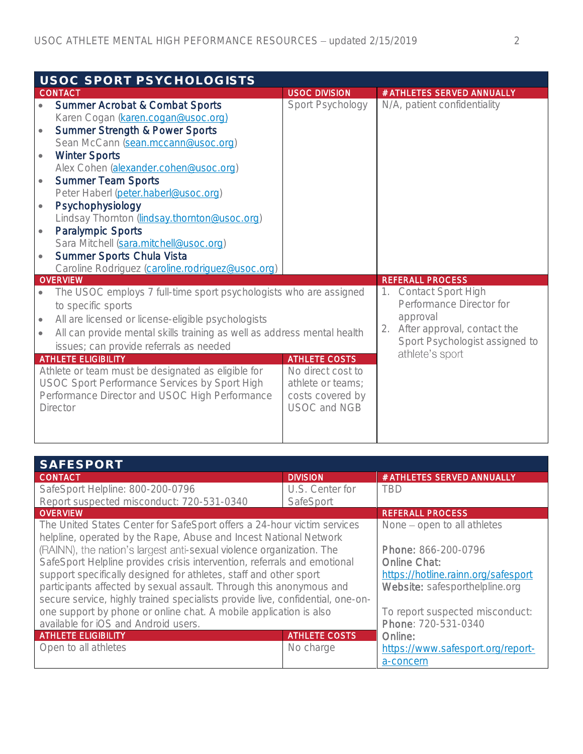| USOC SPORT PSYCHOLOGISTS |                                                                         |                                  |    |                                                       |
|--------------------------|-------------------------------------------------------------------------|----------------------------------|----|-------------------------------------------------------|
|                          | <b>CONTACT</b>                                                          | <b>USOC DIVISION</b>             |    | # ATHLETES SERVED ANNUALLY                            |
|                          | <b>Summer Acrobat &amp; Combat Sports</b>                               | Sport Psychology                 |    | N/A, patient confidentiality                          |
|                          | Karen Cogan (karen.cogan@usoc.org)                                      |                                  |    |                                                       |
|                          | Summer Strength & Power Sports                                          |                                  |    |                                                       |
|                          | Sean McCann (sean.mccann@usoc.org)                                      |                                  |    |                                                       |
|                          | <b>Winter Sports</b>                                                    |                                  |    |                                                       |
|                          | Alex Cohen (alexander.cohen@usoc.org)                                   |                                  |    |                                                       |
| $\bullet$                | <b>Summer Team Sports</b>                                               |                                  |    |                                                       |
|                          | Peter Haberl (peter.haberl@usoc.org)                                    |                                  |    |                                                       |
| $\bullet$                | Psychophysiology                                                        |                                  |    |                                                       |
|                          | Lindsay Thornton (lindsay.thornton@usoc.org)                            |                                  |    |                                                       |
| $\bullet$                | <b>Paralympic Sports</b>                                                |                                  |    |                                                       |
|                          | Sara Mitchell (sara.mitchell@usoc.org)                                  |                                  |    |                                                       |
|                          | Summer Sports Chula Vista                                               |                                  |    |                                                       |
|                          | Caroline Rodriguez (caroline.rodriquez@usoc.org)                        |                                  |    |                                                       |
|                          | <b>OVERVIEW</b>                                                         |                                  |    | <b>REFERALL PROCESS</b>                               |
|                          | The USOC employs 7 full-time sport psychologists who are assigned       |                                  | 1. | <b>Contact Sport High</b><br>Performance Director for |
|                          | to specific sports                                                      |                                  |    | approval                                              |
|                          | All are licensed or license-eligible psychologists                      |                                  | 2. | After approval, contact the                           |
|                          | All can provide mental skills training as well as address mental health |                                  |    | Sport Psychologist assigned to                        |
|                          | issues; can provide referrals as needed                                 |                                  |    | athlete's sport                                       |
|                          | <b>ATHLETE ELIGIBILITY</b>                                              | <b>ATHLETE COSTS</b>             |    |                                                       |
|                          | Athlete or team must be designated as eligible for                      | No direct cost to                |    |                                                       |
|                          | USOC Sport Performance Services by Sport High                           | athlete or teams;                |    |                                                       |
|                          | Performance Director and USOC High Performance<br>Director              | costs covered by<br>USOC and NGB |    |                                                       |
|                          |                                                                         |                                  |    |                                                       |
|                          |                                                                         |                                  |    |                                                       |
|                          |                                                                         |                                  |    |                                                       |

| <b>SAFESPORT</b>                                                               |                                     |                                   |
|--------------------------------------------------------------------------------|-------------------------------------|-----------------------------------|
| <b>CONTACT</b>                                                                 | <b>DIVISION</b>                     | # ATHLETES SERVED ANNUALLY        |
| SafeSport Helpline: 800-200-0796                                               | U.S. Center for                     | <b>TRD</b>                        |
| Report suspected misconduct: 720-531-0340                                      | SafeSport                           |                                   |
| <b>OVERVIEW</b>                                                                |                                     | <b>REFERALL PROCESS</b>           |
| The United States Center for SafeSport offers a 24-hour victim services        | None – open to all athletes         |                                   |
| helpline, operated by the Rape, Abuse and Incest National Network              |                                     |                                   |
| (RAINN), the nation's largest anti-sexual violence organization. The           | Phone: 866-200-0796                 |                                   |
| SafeSport Helpline provides crisis intervention, referrals and emotional       | Online Chat:                        |                                   |
| support specifically designed for athletes, staff and other sport              | https://hotline.rainn.org/safesport |                                   |
| participants affected by sexual assault. Through this anonymous and            |                                     | Website: safesporthelpline.org    |
| secure service, highly trained specialists provide live, confidential, one-on- |                                     |                                   |
| one support by phone or online chat. A mobile application is also              |                                     | To report suspected misconduct:   |
| available for iOS and Android users.                                           |                                     | Phone: 720-531-0340               |
| <b>ATHLETE ELIGIBILITY</b>                                                     | <b>ATHLETE COSTS</b>                | Online:                           |
| Open to all athletes                                                           | No charge                           | https://www.safesport.org/report- |
|                                                                                |                                     | a-concern                         |